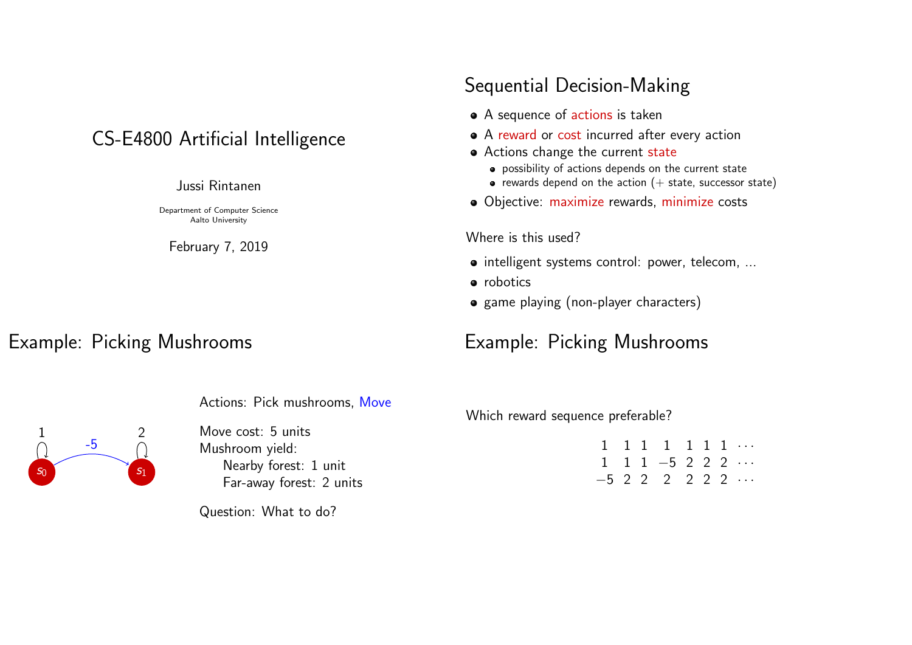# CS-E4800 Artificial Intelligence

#### Jussi Rintanen

Department of Computer Science Aalto University

February 7, 2019

### Example: Picking Mushrooms

# Sequential Decision-Making

- A sequence of actions is taken
- A reward or cost incurred after every action
- Actions change the current state
	- possibility of actions depends on the current state
	- rewards depend on the action  $(+)$  state, successor state)
- Objective: maximize rewards, minimize costs

#### Where is this used?

- $\bullet$  intelligent systems control: power, telecom, ...
- robotics
- game playing (non-player characters)

# Example: Picking Mushrooms

 $s_0$  s<sub>1</sub> -5 1 2

Actions: Pick mushrooms, Move

Move cost: 5 units Mushroom yield: Nearby forest: 1 unit Far-away forest: 2 units

Question: What to do?

Which reward sequence preferable?

 $1 \quad 1 \quad 1 \quad 1 \quad 1 \quad 1 \quad 1 \cdots$ <br>  $1 \quad 1 \quad 1 \quad -5 \quad 2 \quad 2 \quad 2 \quad \cdots$  $1 \t1 \t-5 \t2 \t2 \t3 \t...$ −5 2 2 2 2 2 2 · · ·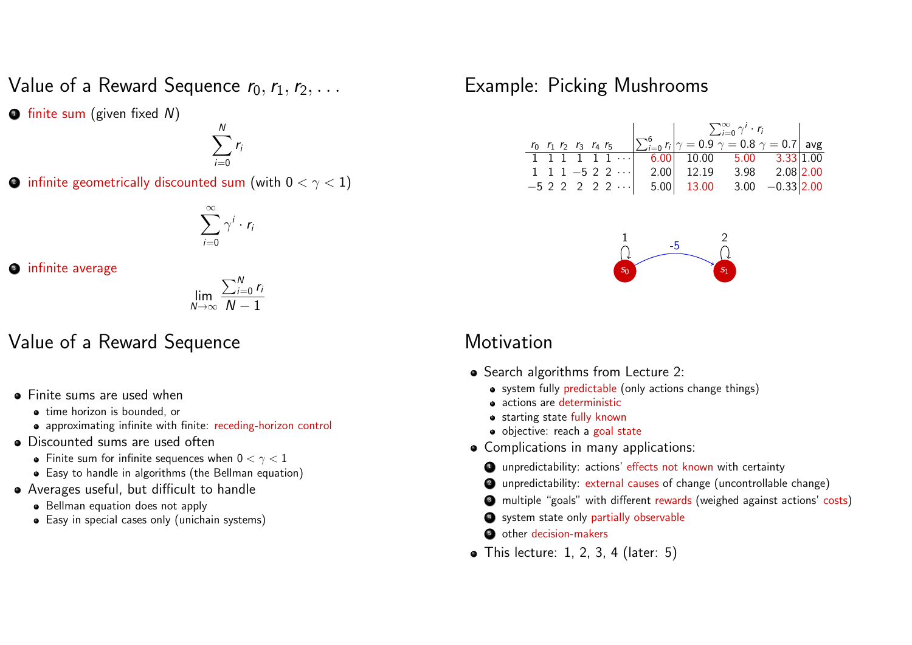Value of a Reward Sequence  $r_0, r_1, r_2, \ldots$ 

 $\bullet$  finite sum (given fixed  $N$ )

$$
\sum_{i=0}^N r_i
$$

 $\bullet$  infinite geometrically discounted sum (with  $0 < \gamma < 1)$ 

$$
\sum_{i=0}^{\infty} \gamma^i \cdot r_i
$$

3 infinite average

$$
\lim_{N\to\infty}\frac{\sum_{i=0}^N r_i}{N-1}
$$

### Value of a Reward Sequence

- **•** Finite sums are used when
	- time horizon is bounded, or
	- approximating infinite with finite: receding-horizon control
- Discounted sums are used often
	- Finite sum for infinite sequences when  $0 < \gamma < 1$
	- Easy to handle in algorithms (the Bellman equation)
- Averages useful, but difficult to handle
	- Bellman equation does not apply
	- Easy in special cases only (unichain systems)

## Example: Picking Mushrooms

| $r_0$ $r_1$ $r_2$ $r_3$ $r_4$ $r_5$ $\sum_{i=0}^{6} r_i \middle  \gamma = 0.9 \ \gamma = 0.8 \ \gamma = 0.7 \right $ avg |  |  |  |
|--------------------------------------------------------------------------------------------------------------------------|--|--|--|
|                                                                                                                          |  |  |  |
| $\overline{1}$ 1 1 1 1 1 $\overline{1}$ 6.00 10.00 5.00 3.33 1.00                                                        |  |  |  |
| 1 1 1 -5 2 2 $\cdots$ 2.00 12.19 3.98 2.08 2.00                                                                          |  |  |  |
| $-5$ 2 2 2 2 2 $\cdots$ 5.00 13.00 3.00 $-0.33 2.00$                                                                     |  |  |  |



#### **Motivation**

- Search algorithms from Lecture 2:
	- system fully predictable (only actions change things)
	- actions are deterministic
	- starting state fully known
	- · objective: reach a goal state
- Complications in many applications:
	- **4** unpredictability: actions' effects not known with certainty
	- <sup>2</sup> unpredictability: external causes of change (uncontrollable change)
	- <sup>3</sup> multiple "goals" with different rewards (weighed against actions' costs)
	- **4** system state only partially observable
	- **5** other decision-makers
- $\bullet$  This lecture: 1, 2, 3, 4 (later: 5)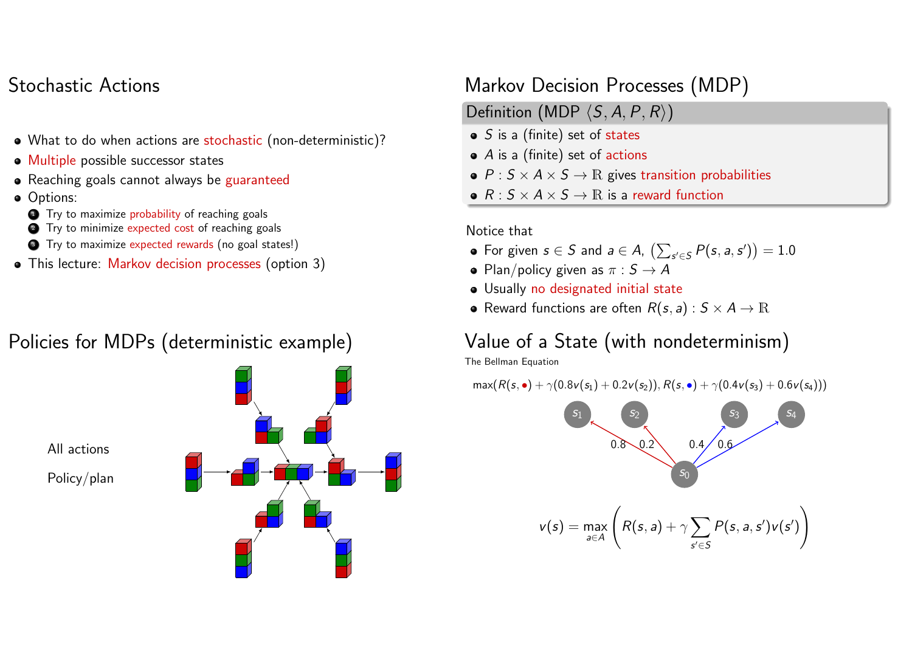## Stochastic Actions

- What to do when actions are stochastic (non-deterministic)?
- Multiple possible successor states
- Reaching goals cannot always be guaranteed
- **o** Options:
- **1** Try to maximize probability of reaching goals
- **2** Try to minimize expected cost of reaching goals
- <sup>3</sup> Try to maximize expected rewards (no goal states!)
- This lecture: Markov decision processes (option 3)

# Policies for MDPs (deterministic example)



# Markov Decision Processes (MDP)

- Definition (MDP  $\langle S, A, P, R \rangle$ )
- $\bullet$  S is a (finite) set of states
- $\bullet$  A is a (finite) set of actions
- $P : S \times A \times S \rightarrow \mathbb{R}$  gives transition probabilities
- $R: S \times A \times S \rightarrow \mathbb{R}$  is a reward function

#### Notice that

- For given  $s \in S$  and  $a \in A$ ,  $\left(\sum_{s' \in S} P(s, a, s')\right) = 1.0$
- Plan/policy given as  $\pi : S \to A$
- Usually no designated initial state
- Reward functions are often  $R(s, a) : S \times A \rightarrow \mathbb{R}$

# Value of a State (with nondeterminism)

The Bellman Equation

$$
\max(R(s,\bullet)+\gamma(0.8\nu(s_1)+0.2\nu(s_2)),R(s,\bullet)+\gamma(0.4\nu(s_3)+0.6\nu(s_4)))
$$

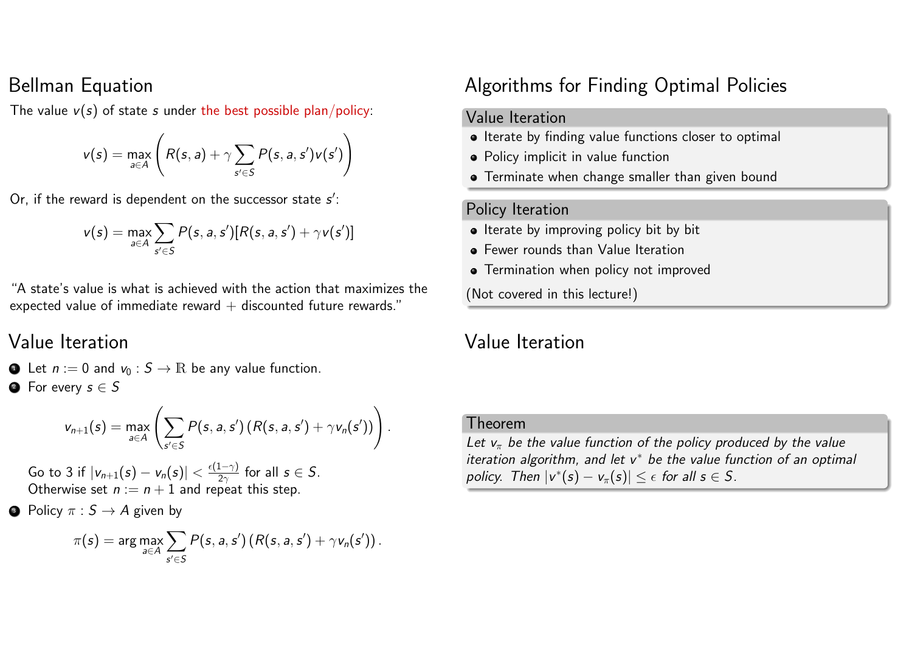#### Bellman Equation

The value  $v(s)$  of state s under the best possible plan/policy:

$$
v(s) = \max_{a \in A} \left( R(s, a) + \gamma \sum_{s' \in S} P(s, a, s') v(s') \right)
$$

Or, if the reward is dependent on the successor state  $s'$ :

$$
v(s) = \max_{a \in A} \sum_{s' \in S} P(s, a, s') [R(s, a, s') + \gamma v(s')]
$$

"A state's value is what is achieved with the action that maximizes the expected value of immediate reward  $+$  discounted future rewards."

### Value Iteration

**1** Let  $n := 0$  and  $v_0 : S \to \mathbb{R}$  be any value function.  $\bullet$  For every  $s \in S$ 

$$
v_{n+1}(s) = \max_{a \in A} \left( \sum_{s' \in S} P(s, a, s') (R(s, a, s') + \gamma v_n(s')) \right).
$$

Go to 3 if  $|v_{n+1}(s) - v_n(s)| < \frac{\epsilon(1-\gamma)}{2\gamma}$  $\frac{1-\gamma j}{2\gamma}$  for all  $s \in S$ . Otherwise set  $n := n + 1$  and repeat this step.

• Policy  $\pi : S \to A$  given by

$$
\pi(s) = \arg\max_{a \in A} \sum_{s' \in S} P(s, a, s') (R(s, a, s') + \gamma v_n(s')).
$$

### Algorithms for Finding Optimal Policies

#### Value Iteration

- Iterate by finding value functions closer to optimal
- Policy implicit in value function
- **•** Terminate when change smaller than given bound

#### Policy Iteration

- Iterate by improving policy bit by bit
- **•** Fewer rounds than Value Iteration
- **•** Termination when policy not improved

(Not covered in this lecture!)

### Value Iteration

#### Theorem

Let  $v_{\pi}$  be the value function of the policy produced by the value iteration algorithm, and let  $v^*$  be the value function of an optimal policy. Then  $|v^*(s) - v_\pi(s)| \leq \epsilon$  for all  $s \in S$ .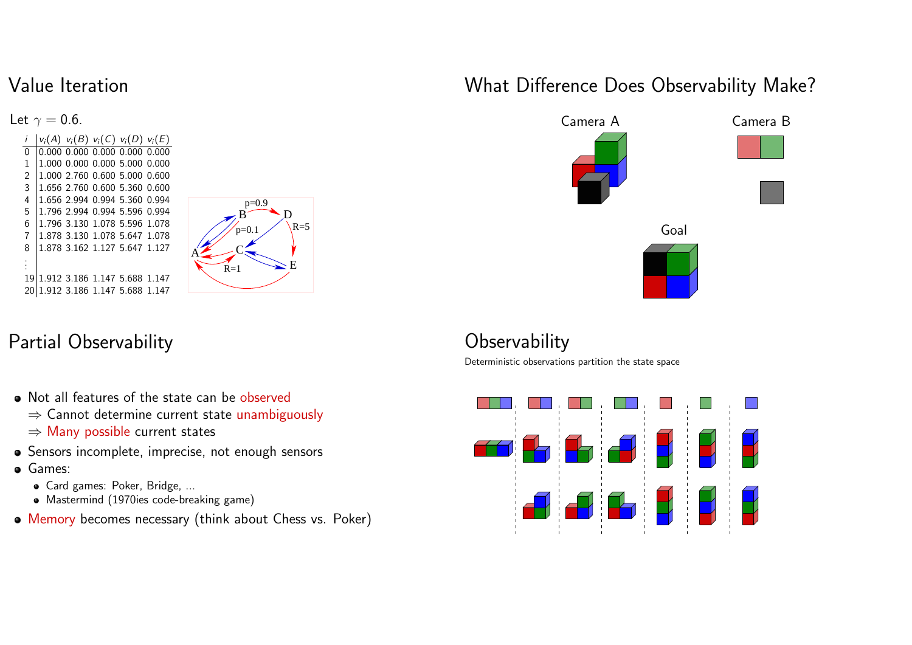## Value Iteration

Let  $\gamma = 0.6$ .  $|v_i(A) v_i(B) v_i(C) v_i(D) v_i(E)|$  0.000 0.000 0.000 0.000 0.000 1.000 0.000 0.000 5.000 0.000 1.000 2.760 0.600 5.000 0.600 1.656 2.760 0.600 5.360 0.600 1.656 2.994 0.994 5.360 0.994 1.796 2.994 0.994 5.596 0.994 1.796 3.130 1.078 5.596 1.078 1.878 3.130 1.078 5.647 1.078 1.878 3.162 1.127 5.647 1.127 . . . 1.912 3.186 1.147 5.688 1.147 1.912 3.186 1.147 5.688 1.147



# Partial Observability

- Not all features of the state can be observed
	- ⇒ Cannot determine current state unambiguously
	- ⇒ Many possible current states
- Sensors incomplete, imprecise, not enough sensors
- Games:
	- Card games: Poker, Bridge, ...
	- Mastermind (1970ies code-breaking game)
- Memory becomes necessary (think about Chess vs. Poker)

# What Difference Does Observability Make?



# **Observability**

Deterministic observations partition the state space

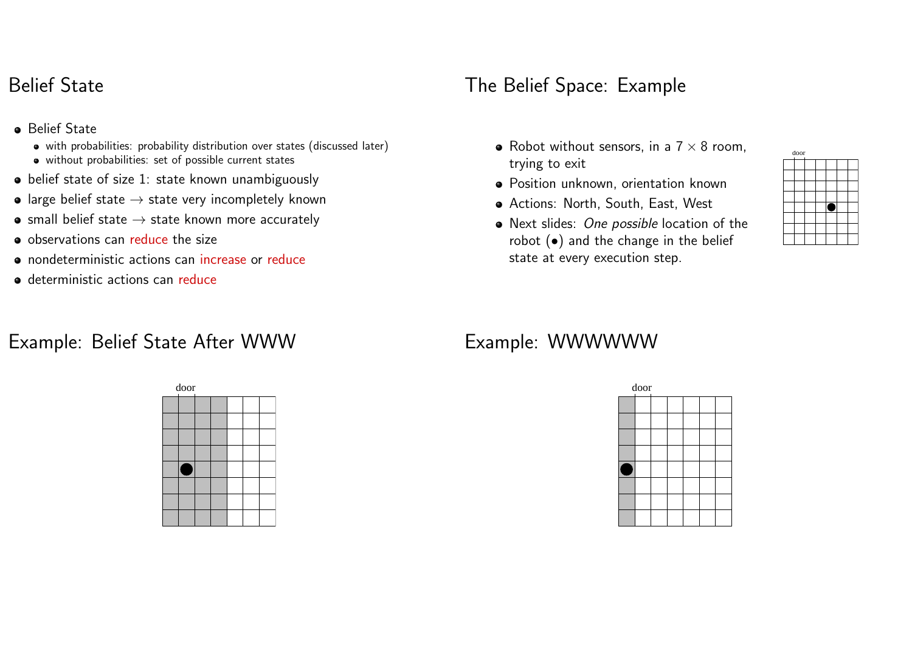## Belief State

- **•** Belief State
	- with probabilities: probability distribution over states (discussed later)
	- without probabilities: set of possible current states
- belief state of size 1: state known unambiguously
- large belief state  $\rightarrow$  state very incompletely known
- $\bullet$  small belief state  $\rightarrow$  state known more accurately
- o observations can reduce the size
- nondeterministic actions can increase or reduce
- **o** deterministic actions can reduce

# Example: Belief State After WWW



# The Belief Space: Example

- Robot without sensors, in a  $7 \times 8$  room, trying to exit
- Position unknown, orientation known
- Actions: North, South, East, West
- Next slides: One possible location of the robot  $\left( \bullet \right)$  and the change in the belief state at every execution step.



# Example: WWWWWW

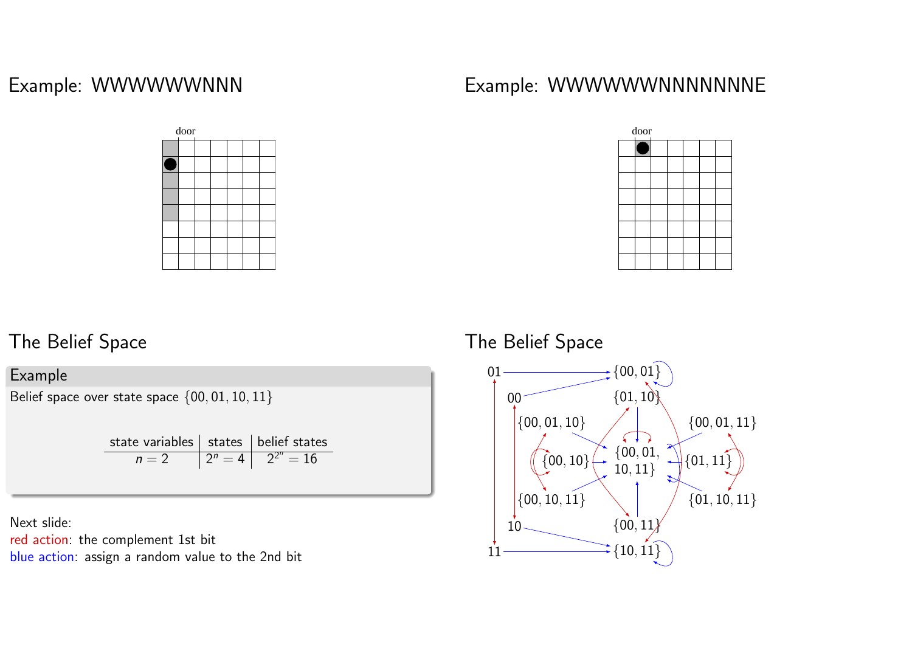## Example: WWWWWWNNN



# Example: WWWWWWNNNNNNNE



# The Belief Space

#### Example

Belief space over state space {00, 01, 10, 11}

| state variables $\vert$ states $\vert$ belief states |                           |
|------------------------------------------------------|---------------------------|
| $n=2$                                                | $ 2^n = 4   2^{2^n} = 16$ |

Next slide: red action: the complement 1st bit blue action: assign a random value to the 2nd bit



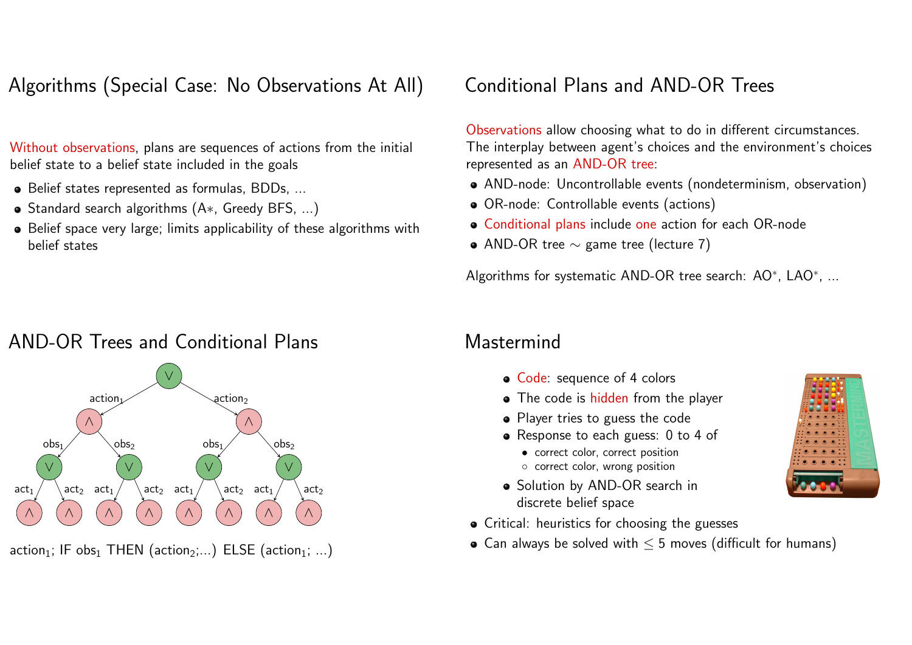Algorithms (Special Case: No Observations At All)

Without observations, plans are sequences of actions from the initial belief state to a belief state included in the goals

- Belief states represented as formulas, BDDs, ...
- Standard search algorithms (A\*, Greedy BFS, ...)
- Belief space very large; limits applicability of these algorithms with belief states

# Conditional Plans and AND-OR Trees

Observations allow choosing what to do in different circumstances. The interplay between agent's choices and the environment's choices represented as an AND-OR tree:

- AND-node: Uncontrollable events (nondeterminism, observation)
- OR-node: Controllable events (actions)
- Conditional plans include one action for each OR-node
- AND-OR tree ∼ game tree (lecture 7)

Algorithms for systematic AND-OR tree search: AO\*, LAO\*,  $\dots$ 

## AND-OR Trees and Conditional Plans



#### action<sub>1</sub>; IF obs<sub>1</sub> THEN (action<sub>2</sub>;...) ELSE (action<sub>1</sub>; ...)

### **Mastermind**

- Code: sequence of 4 colors
- The code is hidden from the player
- Player tries to guess the code
- Response to each guess: 0 to 4 of
	- correct color, correct position ◦ correct color, wrong position
- Solution by AND-OR search in discrete belief space
- Critical: heuristics for choosing the guesses
- Can always be solved with  $\leq$  5 moves (difficult for humans)

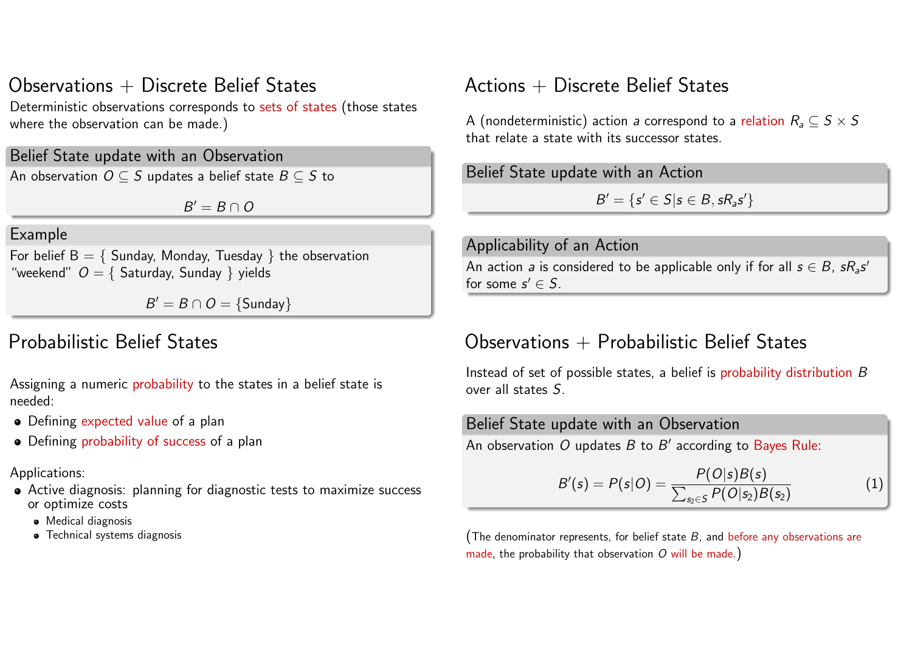# Observations  $+$  Discrete Belief States

Deterministic observations corresponds to sets of states (those states where the observation can be made.)

Belief State update with an Observation

An observation  $O \subseteq S$  updates a belief state  $B \subseteq S$  to

 $B' = B \cap O$ 

#### Example

For belief  $B = \{$  Sunday, Monday, Tuesday  $\}$  the observation "weekend"  $O = \{$  Saturday, Sunday  $\}$  yields

 $B' = B \cap O = \{\text{Sunday}\}\$ 

### Probabilistic Belief States

Assigning a numeric probability to the states in a belief state is needed:

- Defining expected value of a plan
- Defining probability of success of a plan

#### Applications:

- Active diagnosis: planning for diagnostic tests to maximize success or optimize costs
	- Medical diagnosis
	- Technical systems diagnosis

## $Actions + Discrete Belief States$

A (nondeterministic) action a correspond to a relation  $R_a \subseteq S \times S$ that relate a state with its successor states.

Belief State update with an Action

 $B' = \{s' \in S | s \in B, sR_a s'\}\$ 

#### Applicability of an Action An action *a* is considered to be applicable only if for all  $s \in B$ ,  $sR_a s'$ for some  $s' \in S$ .

### Observations  $+$  Probabilistic Belief States

Instead of set of possible states, a belief is probability distribution B over all states S.

# Belief State update with an Observation An observation  $O$  updates  $B$  to  $B^\prime$  according to Bayes Rule:  $B'(s) = P(s|O) = \frac{P(O|s)B(s)}{\sum_{s_2 \in S} P(O|s_2)B(s_2)}$ (1)

(The denominator represents, for belief state  $B$ , and before any observations are made, the probability that observation  $O$  will be made.)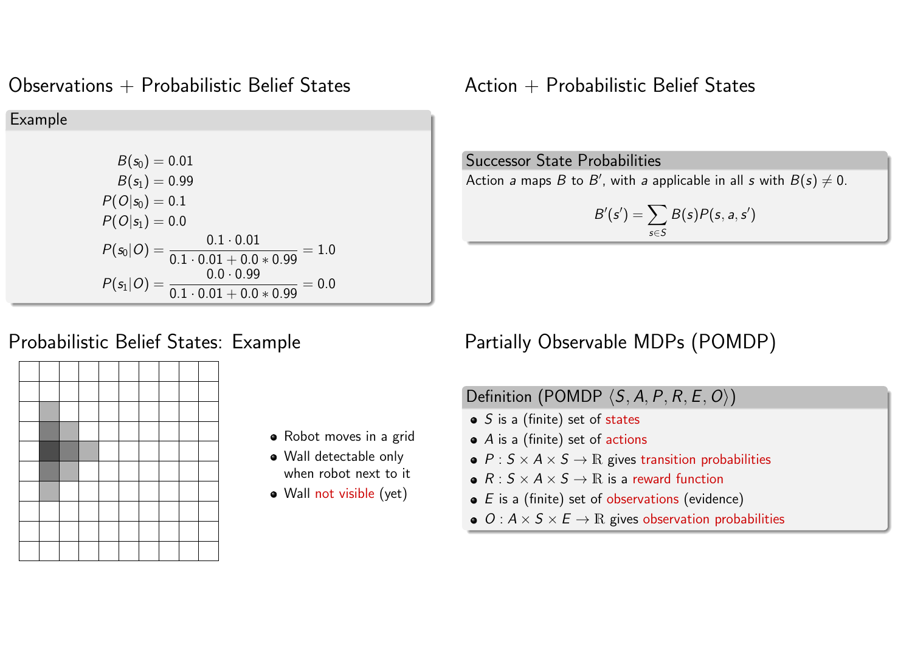#### Observations  $+$  Probabilistic Belief States

Example  $B(s_0) = 0.01$  $B(s_1) = 0.99$  $P(O|S_0) = 0.1$  $P(O|S_1) = 0.0$  $P(s_0|O) = \frac{0.1 \cdot 0.01}{0.1 \cdot 0.01 + 0.01}$  $0.1 \cdot 0.01 + 0.0 * 0.99$  $= 1.0$  $P(s_1|O) = \frac{0.0 \cdot 0.99}{0.1 \cdot 0.01 + 0.01}$  $0.1 \cdot 0.01 + 0.0 * 0.99$  $= 0.0$ 

### $Action + Probability$  Belief States

Successor State Probabilities

Action a maps B to B', with a applicable in all s with  $B(s) \neq 0$ .

$$
B'(s') = \sum_{s \in S} B(s)P(s, a, s')
$$

#### Probabilistic Belief States: Example



- Robot moves in a grid
- Wall detectable only when robot next to it
- Wall not visible (yet)

# Partially Observable MDPs (POMDP)

# Definition (POMDP  $\langle S, A, P, R, E, O \rangle$ )

- $\bullet$  S is a (finite) set of states
- $\bullet$  A is a (finite) set of actions
- $\bullet$  P :  $S \times A \times S \rightarrow \mathbb{R}$  gives transition probabilities
- $R: S \times A \times S \rightarrow \mathbb{R}$  is a reward function
- $\bullet$  E is a (finite) set of observations (evidence)
- $\bullet$   $O: A \times S \times E \rightarrow \mathbb{R}$  gives observation probabilities